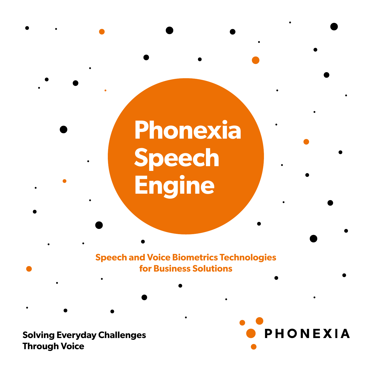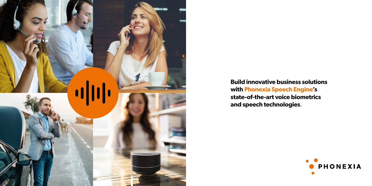

**Build innovative business solutions with Phonexia Speech Engine's state-of-the-art voice biometrics and speech technologies.**

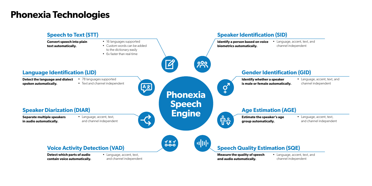# **Phonexia Technologies**



• Language, accent, text, and channel independent

• Language, accent, text, and channel independent

• Language, accent, text, and channel independent

• Language, accent, text, and channel independent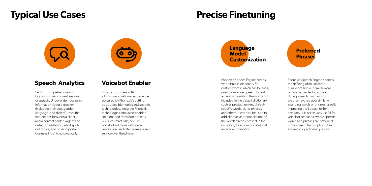# **Typical Use Cases**

## **Speech Analytics**

Perform comprehensive and highly complex content analysis of speech. Uncover demographic information about a speaker (including their age, gender, language, and dialect), track the interactions between a client and a contact center's agent and detect cross-talking, silent spots, call topics, and other important business insights automatically.



Phonexia Speech Engine comes with a built-in dictionary for custom words, which can be easily used to improve Speech to Text accuracy by adding the words not included in the default dictionary such as product names, dialectspecific words, slang phrases, and others. It can also be used to add alternative pronunciations of the words already present in the dictionary to accommodate local and dialect specifics.

## **Voicebot Enabler**

Provide customers with a frictionless customer experience powered by Phonexia's cuttingedge voice biometrics and speech technologies. Integrate Phonexia technologies into voice-enabled solutions and transform ordinary IVRs into smart IVRs, secure voicebot solutions with voice verification, and offer seamless selfservice over the phone.

Phonexia Speech Engine enables the defining of an unlimited number of single- or multi-word phrases expected to appear during speech. Such words are then favored over similarly sounding words or phrases, greatly improving the Speech to Text accuracy. It is particularly useful for voicebot scenarios, where specific words and phrases are preferred in the speech transcription of an answer to a particular question.

# **Precise Finetuning**



**Language Model Customization**

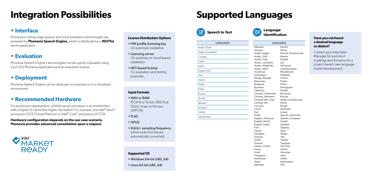# **Integration Possibilities**

## **• Interface**

Phonexia's cutting-edge speech and voice biometrics technologies are powered by **Phonexia Speech Engine,** which is distributed as a **RESTful** server application.

### **Input Formats**

- WAV or RAW (PCM 8 or 16 bits, IEEE float 32-bit, A-law or Mu-law, ADPCM)
- $\bullet$  FLAC
- OPUS
- 8 kHz+ sampling frequency (other audio formats are automatically converted)

## **• Evaluation**

Phonexia Speech Engine's technologies can be quickly evaluated using a rich-GUI Phonexia application and an evaluation license.

## **• Recommended Hardware**

For production deployment, a 64-bit server processor is recommended with a higher L3 cache (the higher, the better). For example, the Intel<sup>®</sup> Xeon<sup>®</sup> processors E5/E7/Gold/Platinum or Intel® Core™ processors i5/i7/i9.

**Hardware configuration depends on the use case scenario. Phonexia provides advanced consultation upon a request.**

## $\bullet$  intel. **MARKET READY**

## **• Deployment**

Phonexia Speech Engine can be deployed on premises or in a virtualized environment.

### **License Distribution Options**

- HW profile licensing key On-premises installation
- Licensing server On-premises or cloud-based installation
- NET-based license For evaluation and testing purposes

### **Supported OS**

- Windows 64-bit (x86\_64)
- Linux 64-bit (x86\_64)

# **Supported Languages**

### **Have you not found a desired language or dialect?**

Contact your Area Sales Manager for a product roadmap and the terms for a project-based, new language model development.



### LANGUAGES



| <b>LANGUAGES</b>   |                        |
|--------------------|------------------------|
| Arabic (Gulf)      | Alban                  |
| Arabic (Levantine) | Amha<br>Arabi          |
| Croatian           | Arabi                  |
| Czech              | Arabi<br>Arabi         |
| Dutch              | Arabi                  |
| English (US)       | Arabi<br>Assar         |
| Farsi              | Azerb                  |
| French             | Bangl<br>Belaru        |
| Pashto             | <b>Bulga</b>           |
| Polish             | <b>Burm</b><br>Cebu    |
| Russian            | Chine                  |
| Slovak             | Chine                  |
| Spanish            | Chine<br>Chine         |
| Swedish            | Chuva                  |
| Turkish            | Czecł<br>Dari          |
| Vietnamese         | Dutch<br>Englis        |
|                    | Englis<br>$E_{\rm DM}$ |

| Albanian          |
|-------------------|
| Amharic           |
| Arabic_Egypt      |
| Arabic_Gulf       |
| Arabic_Iraqi      |
| Arabic_Levantine  |
| Arabic_Maghrebi   |
| Arabic_MSA        |
| Assamese          |
| Azerbaijani       |
| Bangla_Bengali    |
| <b>Belarusian</b> |
| Bulgarian         |
| <b>Burmese</b>    |
| Cebuano           |
| Chinese_Cantonese |
| Chinese_Mandarin  |
| Chinese_Min_Nan   |
| Chinese_Wu        |
| Chuvash           |
| Czech             |
| Dari              |
| Dutch             |
| English_American  |
| English_British   |
| English_Indian    |
| Farsi             |
| French            |
| Georgian          |
| German            |
| Greek             |
| Guarani           |
| Haitian_Creole    |
| Hausa             |
| Hindi             |
| Hungarian         |
| Indonesian        |
| Italian           |
| <b>Japanese</b>   |
|                   |
|                   |

- Kazakh
- Khmer
- Kirundi\_Kinyarwanda
- Korean
- Kurdish Lao
- Lithuanian
- Luxembourgish
- Macedonian
- Ndebele
- Oromo
- Pashto
- Polish
- Portuguese
- Punjabi
- Romanian
- Russian
- Serbo-Croat-Bosnian
- Shona
- Slovak
- Slovenian
- Somali
- Spanish\_American
- Spanish\_European
- Swahili
- Swedish
- Tagalog
- Tamil
- **Telugu**
- Thai
- Tibetan
- Tigrignya
- Tok\_Pisin
- Turkish
- Ukrainian
- Urdu
- Uzbek Vietnamese
- 
- Zulu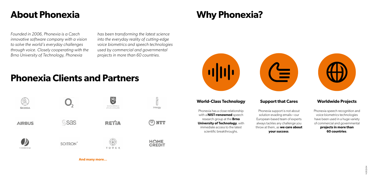# **About Phonexia Why Phonexia?**

# **Phonexia Clients and Partners**





*Founded in 2006, Phonexia is a Czech innovative software company with a vision to solve the world's everyday challenges through voice. Closely cooperating with the Brno University of Technology, Phonexia* 

*has been transforming the latest science into the everyday reality of cutting-edge voice biometrics and speech technologies used by commercial and governmental projects in more than 60 countries.*

### **World-Class Technology**

Phonexia has a close relationship with a **NIST-renowned** speech research group at the **Brno University of Technology, with** immediate access to the latest scientific breakthroughs.

## **Support that Cares**

Phonexia support is not about solution-evading emails—our European-based team of experts always tackles any challenge you throw at them, as **we care about your success**.

### **Worldwide Projects**

Phonexia speech recognition and voice biometrics technologies have been used in a huge variety of commercial and governmental **projects in more than 60 countries**.

**And many more…**